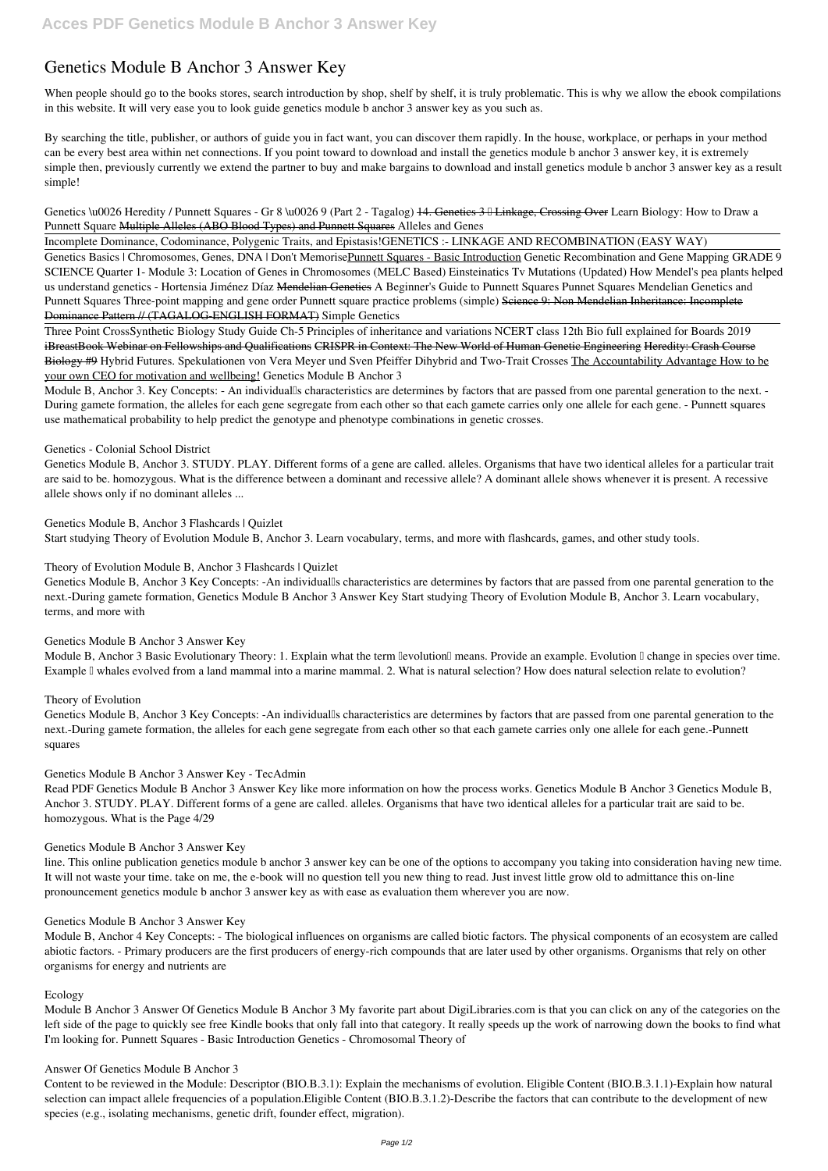# **Genetics Module B Anchor 3 Answer Key**

When people should go to the books stores, search introduction by shop, shelf by shelf, it is truly problematic. This is why we allow the ebook compilations in this website. It will very ease you to look guide **genetics module b anchor 3 answer key** as you such as.

Genetics \u0026 Heredity / Punnett Squares - Gr 8 \u0026 9 (Part 2 - Tagalog) 44. Genetics 3  $\parallel$  Linkage, Crossing Over Learn Biology: How to Draw a Punnett Square Multiple Alleles (ABO Blood Types) and Punnett Squares **Alleles and Genes**

By searching the title, publisher, or authors of guide you in fact want, you can discover them rapidly. In the house, workplace, or perhaps in your method can be every best area within net connections. If you point toward to download and install the genetics module b anchor 3 answer key, it is extremely simple then, previously currently we extend the partner to buy and make bargains to download and install genetics module b anchor 3 answer key as a result simple!

Genetics Basics | Chromosomes, Genes, DNA | Don't MemorisePunnett Squares - Basic Introduction Genetic Recombination and Gene Mapping GRADE 9 **SCIENCE Quarter 1- Module 3: Location of Genes in Chromosomes (MELC Based) Einsteinatics Tv** *Mutations (Updated)* **How Mendel's pea plants helped us understand genetics - Hortensia Jiménez Díaz** Mendelian Genetics *A Beginner's Guide to Punnett Squares* Punnet Squares **Mendelian Genetics and Punnett Squares Three-point mapping and gene order Punnett square practice problems (simple)** Science 9: Non Mendelian Inheritance: Incomplete Dominance Pattern // (TAGALOG-ENGLISH FORMAT) *Simple Genetics*

Incomplete Dominance, Codominance, Polygenic Traits, and Epistasis!*GENETICS :- LINKAGE AND RECOMBINATION (EASY WAY)*

Module B, Anchor 3. Key Concepts: - An individualls characteristics are determines by factors that are passed from one parental generation to the next. -During gamete formation, the alleles for each gene segregate from each other so that each gamete carries only one allele for each gene. - Punnett squares use mathematical probability to help predict the genotype and phenotype combinations in genetic crosses.

Genetics Module B, Anchor 3 Key Concepts: -An individualls characteristics are determines by factors that are passed from one parental generation to the next.-During gamete formation, Genetics Module B Anchor 3 Answer Key Start studying Theory of Evolution Module B, Anchor 3. Learn vocabulary, terms, and more with

Three Point Cross*Synthetic Biology Study Guide Ch-5 Principles of inheritance and variations NCERT class 12th Bio full explained for Boards 2019* iBreastBook Webinar on Fellowships and Qualifications CRISPR in Context: The New World of Human Genetic Engineering Heredity: Crash Course Biology #9 **Hybrid Futures. Spekulationen von Vera Meyer und Sven Pfeiffer** *Dihybrid and Two-Trait Crosses* The Accountability Advantage How to be your own CEO for motivation and wellbeing! **Genetics Module B Anchor 3**

Genetics Module B, Anchor 3 Key Concepts: -An individualls characteristics are determines by factors that are passed from one parental generation to the next.-During gamete formation, the alleles for each gene segregate from each other so that each gamete carries only one allele for each gene.-Punnett squares

# **Genetics - Colonial School District**

Genetics Module B, Anchor 3. STUDY. PLAY. Different forms of a gene are called. alleles. Organisms that have two identical alleles for a particular trait are said to be. homozygous. What is the difference between a dominant and recessive allele? A dominant allele shows whenever it is present. A recessive allele shows only if no dominant alleles ...

# **Genetics Module B, Anchor 3 Flashcards | Quizlet**

Start studying Theory of Evolution Module B, Anchor 3. Learn vocabulary, terms, and more with flashcards, games, and other study tools.

**Theory of Evolution Module B, Anchor 3 Flashcards | Quizlet**

# **Genetics Module B Anchor 3 Answer Key**

Module B, Anchor 3 Basic Evolutionary Theory: 1. Explain what the term levolution means. Provide an example. Evolution I change in species over time. Example I whales evolved from a land mammal into a marine mammal. 2. What is natural selection? How does natural selection relate to evolution?

### **Theory of Evolution**

# **Genetics Module B Anchor 3 Answer Key - TecAdmin**

Read PDF Genetics Module B Anchor 3 Answer Key like more information on how the process works. Genetics Module B Anchor 3 Genetics Module B, Anchor 3. STUDY. PLAY. Different forms of a gene are called. alleles. Organisms that have two identical alleles for a particular trait are said to be. homozygous. What is the Page 4/29

### **Genetics Module B Anchor 3 Answer Key**

line. This online publication genetics module b anchor 3 answer key can be one of the options to accompany you taking into consideration having new time. It will not waste your time. take on me, the e-book will no question tell you new thing to read. Just invest little grow old to admittance this on-line

pronouncement genetics module b anchor 3 answer key as with ease as evaluation them wherever you are now.

### **Genetics Module B Anchor 3 Answer Key**

Module B, Anchor 4 Key Concepts: - The biological influences on organisms are called biotic factors. The physical components of an ecosystem are called abiotic factors. - Primary producers are the first producers of energy-rich compounds that are later used by other organisms. Organisms that rely on other organisms for energy and nutrients are

#### **Ecology**

Module B Anchor 3 Answer Of Genetics Module B Anchor 3 My favorite part about DigiLibraries.com is that you can click on any of the categories on the left side of the page to quickly see free Kindle books that only fall into that category. It really speeds up the work of narrowing down the books to find what I'm looking for. Punnett Squares - Basic Introduction Genetics - Chromosomal Theory of

### **Answer Of Genetics Module B Anchor 3**

Content to be reviewed in the Module: Descriptor (BIO.B.3.1): Explain the mechanisms of evolution. Eligible Content (BIO.B.3.1.1)-Explain how natural selection can impact allele frequencies of a population.Eligible Content (BIO.B.3.1.2)-Describe the factors that can contribute to the development of new species (e.g., isolating mechanisms, genetic drift, founder effect, migration).